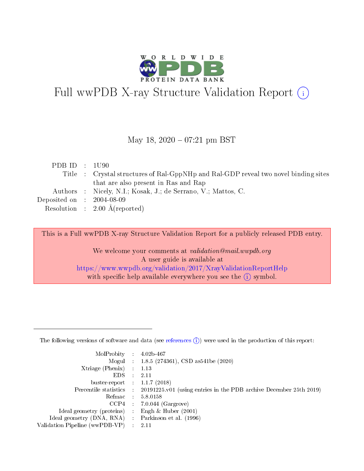

# Full wwPDB X-ray Structure Validation Report (i)

#### May 18, 2020 - 07:21 pm BST

| PDB ID : 1U90                        |                                                                                     |
|--------------------------------------|-------------------------------------------------------------------------------------|
|                                      | Title : Crystal structures of Ral-GppNHp and Ral-GDP reveal two novel binding sites |
|                                      | that are also present in Ras and Rap                                                |
|                                      | Authors : Nicely, N.I.; Kosak, J.; de Serrano, V.; Mattos, C.                       |
| Deposited on $\therefore$ 2004-08-09 |                                                                                     |
|                                      | Resolution : $2.00 \text{ Å}$ (reported)                                            |

This is a Full wwPDB X-ray Structure Validation Report for a publicly released PDB entry.

We welcome your comments at validation@mail.wwpdb.org A user guide is available at <https://www.wwpdb.org/validation/2017/XrayValidationReportHelp> with specific help available everywhere you see the  $(i)$  symbol.

The following versions of software and data (see [references](https://www.wwpdb.org/validation/2017/XrayValidationReportHelp#references)  $(1)$ ) were used in the production of this report:

| MolProbity                     | $\mathcal{L}_{\rm{max}}$ | $4.02b - 467$                                                                |
|--------------------------------|--------------------------|------------------------------------------------------------------------------|
|                                |                          | Mogul : $1.8.5$ (274361), CSD as 541be (2020)                                |
| $X$ triage (Phenix) :          |                          | 1.13                                                                         |
| EDS.                           |                          | 2.11                                                                         |
| buster-report : $1.1.7$ (2018) |                          |                                                                              |
| Percentile statistics :        |                          | $20191225 \text{ v}01$ (using entries in the PDB archive December 25th 2019) |
| Refmac                         |                          | 5.8.0158                                                                     |
| $CCP4$ :                       |                          | $7.0.044$ (Gargrove)                                                         |
| Ideal geometry (proteins) :    |                          | Engh $\&$ Huber (2001)                                                       |
| Ideal geometry (DNA, RNA) :    |                          | Parkinson et al. (1996)                                                      |
| Validation Pipeline (wwPDB-VP) | $\mathcal{L}$            | -2.11                                                                        |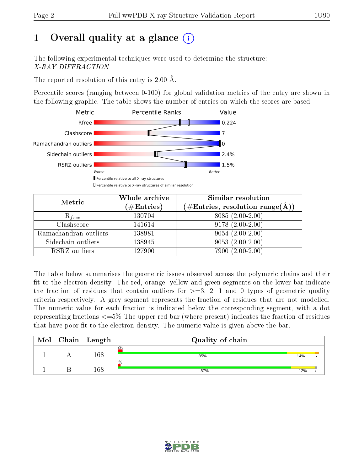# 1 [O](https://www.wwpdb.org/validation/2017/XrayValidationReportHelp#overall_quality)verall quality at a glance  $(i)$

The following experimental techniques were used to determine the structure: X-RAY DIFFRACTION

The reported resolution of this entry is 2.00 Å.

Percentile scores (ranging between 0-100) for global validation metrics of the entry are shown in the following graphic. The table shows the number of entries on which the scores are based.



| Metric                | Whole archive<br>$(\#\mathrm{Entries})$ | Similar resolution<br>$(\#\text{Entries},\,\text{resolution}\,\,\text{range}(\textup{\AA}))$ |  |  |
|-----------------------|-----------------------------------------|----------------------------------------------------------------------------------------------|--|--|
| $R_{free}$            | 130704                                  | $8085(2.00-2.00)$                                                                            |  |  |
| Clashscore            | 141614                                  | $9178(2.00-2.00)$                                                                            |  |  |
| Ramachandran outliers | 138981                                  | $9054(2.00-2.00)$                                                                            |  |  |
| Sidechain outliers    | 138945                                  | $9053(2.00-2.00)$                                                                            |  |  |
| RSRZ outliers         | 127900                                  | $7900(2.00-2.00)$                                                                            |  |  |

The table below summarises the geometric issues observed across the polymeric chains and their fit to the electron density. The red, orange, yellow and green segments on the lower bar indicate the fraction of residues that contain outliers for  $>=3, 2, 1$  and 0 types of geometric quality criteria respectively. A grey segment represents the fraction of residues that are not modelled. The numeric value for each fraction is indicated below the corresponding segment, with a dot representing fractions  $\epsilon=5\%$  The upper red bar (where present) indicates the fraction of residues that have poor fit to the electron density. The numeric value is given above the bar.

| Mol | Chain | Length | Quality of chain |     |  |
|-----|-------|--------|------------------|-----|--|
|     |       | 168    | $2\%$<br>85%     | 14% |  |
|     |       | 168    | $\%$<br>87%      | 12% |  |

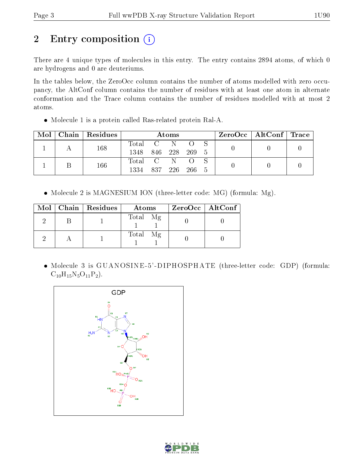# 2 Entry composition (i)

There are 4 unique types of molecules in this entry. The entry contains 2894 atoms, of which 0 are hydrogens and 0 are deuteriums.

In the tables below, the ZeroOcc column contains the number of atoms modelled with zero occupancy, the AltConf column contains the number of residues with at least one atom in alternate conformation and the Trace column contains the number of residues modelled with at most 2 atoms.

Molecule 1 is a protein called Ras-related protein Ral-A.

| Mol | Chain   Residues | $\rm{Atoms}$ |         |      |       |     |  | $\text{ZeroOcc}$   AltConf   Trace |  |
|-----|------------------|--------------|---------|------|-------|-----|--|------------------------------------|--|
|     | 168              | Total C      |         | -N   |       |     |  |                                    |  |
|     |                  | 1348         | 846 228 |      | 269 5 |     |  |                                    |  |
|     | 166              | Total C      |         | -N   |       |     |  |                                    |  |
|     |                  | 1334         | 837     | -226 | -266  | - 5 |  |                                    |  |

• Molecule 2 is MAGNESIUM ION (three-letter code: MG) (formula: Mg).

|  | $Mol$   Chain   Residues | <b>Atoms</b> | ZeroOcc   AltConf |
|--|--------------------------|--------------|-------------------|
|  |                          | Total Mg     |                   |
|  |                          | Total Mg     |                   |

 Molecule 3 is GUANOSINE -5' -DIPHOSPHATE (three-letter code: GDP) (formula:  $C_{10}H_{15}N_5O_{11}P_2$ .



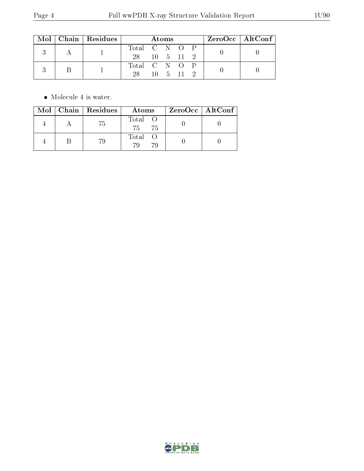|  |  | Mol   Chain   Residues | Atoms         |               |  |                               | $ZeroOcc \mid AltConf \mid$ |  |  |
|--|--|------------------------|---------------|---------------|--|-------------------------------|-----------------------------|--|--|
|  |  |                        | Total C N O P |               |  |                               |                             |  |  |
|  |  | 28 10 5 11 2           |               |               |  |                               |                             |  |  |
|  |  |                        |               | Total C N O P |  |                               |                             |  |  |
|  |  |                        | 28            |               |  | $10 \quad 5 \quad 11 \quad 2$ |                             |  |  |

 $\bullet\,$  Molecule 4 is water.

|  | $Mol$   Chain   Residues | Atoms              | ZeroOcc   AltConf |
|--|--------------------------|--------------------|-------------------|
|  | 75                       | Total<br>75<br>75  |                   |
|  | 79                       | Total<br>70.<br>70 |                   |

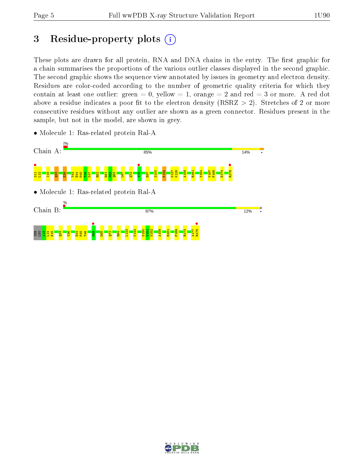# 3 Residue-property plots  $(i)$

These plots are drawn for all protein, RNA and DNA chains in the entry. The first graphic for a chain summarises the proportions of the various outlier classes displayed in the second graphic. The second graphic shows the sequence view annotated by issues in geometry and electron density. Residues are color-coded according to the number of geometric quality criteria for which they contain at least one outlier: green  $= 0$ , yellow  $= 1$ , orange  $= 2$  and red  $= 3$  or more. A red dot above a residue indicates a poor fit to the electron density (RSRZ  $> 2$ ). Stretches of 2 or more consecutive residues without any outlier are shown as a green connector. Residues present in the sample, but not in the model, are shown in grey.



• Molecule 1: Ras-related protein Ral-A

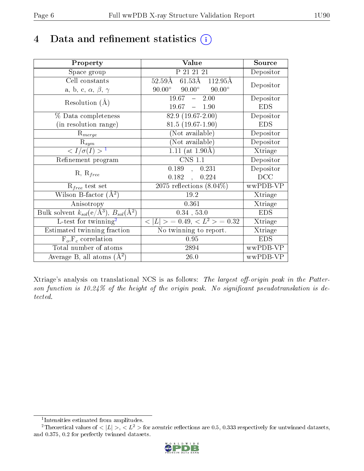# 4 Data and refinement statistics  $(i)$

| Property                                                                | Value                                                     | Source     |
|-------------------------------------------------------------------------|-----------------------------------------------------------|------------|
| Space group                                                             | P 21 21 21                                                | Depositor  |
| Cell constants                                                          | $61.53\text{\AA}$ $112.95\text{\AA}$<br>$52.59\text{\AA}$ | Depositor  |
| a, b, c, $\alpha$ , $\beta$ , $\gamma$                                  | $90.00^{\circ}$ $90.00^{\circ}$<br>$90.00^\circ$          |            |
| Resolution $(A)$                                                        | $19.67 - 2.00$                                            | Depositor  |
|                                                                         | $19.67 - 1.90$                                            | <b>EDS</b> |
| % Data completeness                                                     | $82.9(19.67-2.00)$                                        | Depositor  |
| (in resolution range)                                                   | $81.5(19.67-1.90)$                                        | <b>EDS</b> |
| $R_{merge}$                                                             | (Not available)                                           | Depositor  |
| $\mathrm{R}_{sym}$                                                      | (Not available)                                           | Depositor  |
| $\langle I/\sigma(I) \rangle^{-1}$                                      | $1.11$ (at 1.90Å)                                         | Xtriage    |
| Refinement program                                                      | <b>CNS 1.1</b>                                            | Depositor  |
| $R, R_{free}$                                                           | 0.189, 0.231                                              | Depositor  |
|                                                                         | 0.182,<br>0.224                                           | DCC        |
| $\mathcal{R}_{free}$ test set                                           | $2075$ reflections $(8.04\%)$                             | wwPDB-VP   |
| Wilson B-factor $(A^2)$                                                 | 19.2                                                      | Xtriage    |
| Anisotropy                                                              | 0.361                                                     | Xtriage    |
| Bulk solvent $k_{sol}(\mathrm{e}/\mathrm{A}^3),\,B_{sol}(\mathrm{A}^2)$ | $0.34$ , 53.0                                             | <b>EDS</b> |
| L-test for twinning <sup>2</sup>                                        | $< L >$ = 0.49, $< L^2 >$ = 0.32                          | Xtriage    |
| Estimated twinning fraction                                             | No twinning to report.                                    | Xtriage    |
| $F_o, F_c$ correlation                                                  | 0.95                                                      | <b>EDS</b> |
| Total number of atoms                                                   | 2894                                                      | wwPDB-VP   |
| Average B, all atoms $(A^2)$                                            | 26.0                                                      | wwPDB-VP   |

Xtriage's analysis on translational NCS is as follows: The largest off-origin peak in the Patterson function is  $10.24\%$  of the height of the origin peak. No significant pseudotranslation is detected.

<sup>&</sup>lt;sup>2</sup>Theoretical values of  $\langle |L| \rangle$ ,  $\langle L^2 \rangle$  for acentric reflections are 0.5, 0.333 respectively for untwinned datasets, and 0.375, 0.2 for perfectly twinned datasets.



<span id="page-5-1"></span><span id="page-5-0"></span><sup>1</sup> Intensities estimated from amplitudes.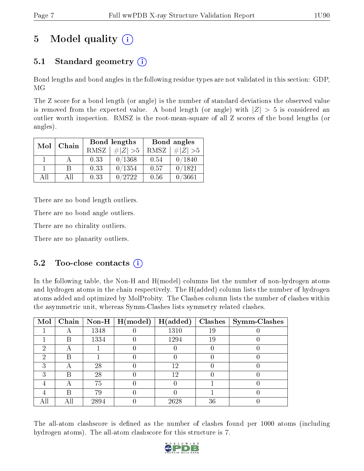# 5 Model quality  $(i)$

# 5.1 Standard geometry  $(i)$

Bond lengths and bond angles in the following residue types are not validated in this section: GDP, MG

The Z score for a bond length (or angle) is the number of standard deviations the observed value is removed from the expected value. A bond length (or angle) with  $|Z| > 5$  is considered an outlier worth inspection. RMSZ is the root-mean-square of all Z scores of the bond lengths (or angles).

| Mol | Chain |      | Bond lengths | Bond angles |             |  |
|-----|-------|------|--------------|-------------|-------------|--|
|     |       | RMSZ | $\# Z  > 5$  | RMSZ        | $\# Z  > 5$ |  |
|     |       | 0.33 | 0/1368       | 0.54        | 0/1840      |  |
|     | В     | 0.33 | 0/1354       | 0.57        | 0/1821      |  |
| AH  | Αll   | 0.33 | 0/2722       | 0.56        | 0/3661      |  |

There are no bond length outliers.

There are no bond angle outliers.

There are no chirality outliers.

There are no planarity outliers.

### $5.2$  Too-close contacts  $(i)$

In the following table, the Non-H and H(model) columns list the number of non-hydrogen atoms and hydrogen atoms in the chain respectively. The H(added) column lists the number of hydrogen atoms added and optimized by MolProbity. The Clashes column lists the number of clashes within the asymmetric unit, whereas Symm-Clashes lists symmetry related clashes.

| Mol | Chain |      | $\mid$ Non-H $\mid$ H(model) | H(added) |    | $Clashes$   Symm-Clashes |
|-----|-------|------|------------------------------|----------|----|--------------------------|
|     |       | 1348 |                              | 1310     | 19 |                          |
|     | В     | 1334 |                              | 1294     | 19 |                          |
| 2   |       |      |                              |          |    |                          |
| 2   | R     |      |                              |          |    |                          |
| 3   | A     | 28   |                              | 12       |    |                          |
| З   | B     | 28   |                              | 12       |    |                          |
|     |       | 75   |                              |          |    |                          |
|     | В     | 79   |                              |          |    |                          |
| All |       | 2894 |                              | 2628     | 36 |                          |

The all-atom clashscore is defined as the number of clashes found per 1000 atoms (including hydrogen atoms). The all-atom clashscore for this structure is 7.

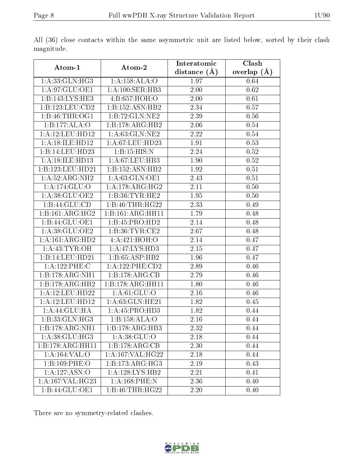| Atom-1                        | Atom-2                       | Interatomic       | Clash         |
|-------------------------------|------------------------------|-------------------|---------------|
|                               |                              | distance $(\AA)$  | overlap $(A)$ |
| 1:A:33:GLN:HG3                | 1:A:158:ALA:O                | 1.97              | 0.64          |
| 1:A:97:GLU:OE1                | 1: A:100: SER:HB3            | $\overline{2.00}$ | 0.62          |
| 1:B:143:LYS:HE3               | 4:B:657:HOH:O                | 2.00              | 0.61          |
| 1:B:123:LEU:CD2               | 1:B:152:ASN:HB2              | 2.34              | 0.57          |
| 1:B:46:THR:OG1                | 1:B:72:GLN:NE2               | 2.39              | 0.56          |
| 1:B:177:ALA:O                 | 1:B:178:ARG:HB2              | 2.06              | 0.54          |
| 1:A:12:LEU:HD12               | 1: A:63: GLN:NE2             | 2.22              | 0.54          |
| 1:A:18:ILE:HD12               | 1: A:67:LEU:HD23             | 1.91              | 0.53          |
| 1:B:14:LEU:HD23               | 1: B:15: HIS:N               | 2.24              | 0.52          |
| 1: A:18: ILE: HD13            | 1: A:67:LEU:HB3              | 1.90              | 0.52          |
| 1:B:123:LEU:HD21              | 1:B:152:ASN:HB2              | 1.92              | 0.51          |
| 1:A:52:ARG:NH2                | 1:A:63:GLN:OE1               | 2.43              | 0.51          |
| 1: A:174: GLU:O               | 1:A:178:ARG:HG2              | 2.11              | 0.50          |
| 1: A:38: GLU:OE2              | 1: B:36: TYR: HE2            | 1.95              | 0.50          |
| 1:B:44:GLU:CD                 | 1:B:46:THR:HG22              | 2.33              | 0.49          |
| 1:B:161:ARG:HG2               | 1:B:161:ARG:HH11             | $\overline{1.79}$ | 0.48          |
| 1:B:44:GLU:OE1                | 1:B:45:PRO:HD2               | 2.14              | 0.48          |
| 1:A:38:GLU:OE2                | 1: B: 36: TYR: CE2           | 2.67              | 0.48          |
| 1:A:161:ARG:HD2               | 4:A:421:HOH:O                | 2.14              | 0.47          |
| 1: A: 43: TYR: OH             | $1:A:47:\text{LYS:HD3}$      | 2.15              | 0.47          |
| 1:B:14:LEU:HD21               | 1:B:65:ASP:HB2               | 1.96              | 0.47          |
| 1:A:122:PHE:C                 | 1: A: 122: PHE: CD2          | 2.89              | 0.46          |
| 1:B:178:ARG:NH1               | 1:B:178:ARG:CB               | 2.79              | 0.46          |
| 1:B:178:ARG:HB2               | 1:B:178:ARG:HH11             | 1.80              | 0.46          |
| 1:A:12:LEU:HD22               | 1: A:61: GLU:O               | 2.16              | 0.46          |
| 1:A:12:LEU:HD12               | 1: A:63: GLN: HE21           | 1.82              | 0.45          |
| 1:A:44:GLU:HA                 | 1:A:45:PRO:HD3               | 1.82              | 0.44          |
| 1:B:33:GLN:HG3                | 1:B:158:ALA:O                | 2.16              | 0.44          |
| $1:B:178:A\overline{RG:NH1}$  | $1:B:178:A\overline{RG:H}B3$ | 2.32              | 0.44          |
| 1:A:38:GLU:HG3                | 1: A: 38: GLU:O              | 2.18              | 0.44          |
| $1:B:178:A\overline{RG:HH11}$ | 1:B:178:ARG:CB               | 2.30              | 0.44          |
| 1:A:164:VAL:O                 | 1:A:167:VAL:HG22             | 2.18              | 0.44          |
| 1:B:169:PHE:O                 | 1:B:173:ARG:HG3              | 2.19              | 0.43          |
| 1:A:127:ASN:O                 | 1: A: 128: LYS: HB2          | 2.21              | 0.41          |
| 1:A:167:VAL:HG23              | 1:A:168:PHE:N                | 2.36              | 0.40          |
| 1:B:44:GLU:OE1                | 1:B:46:THR:HG22              | 2.20              | 0.40          |

All (36) close contacts within the same asymmetric unit are listed below, sorted by their clash magnitude.

There are no symmetry-related clashes.

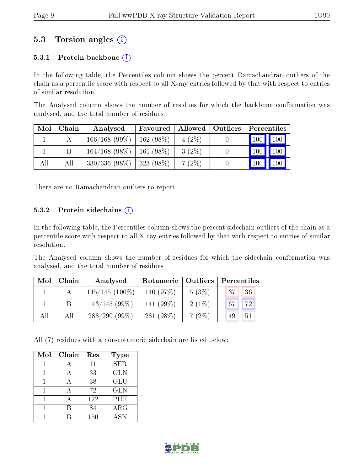### 5.3 Torsion angles (i)

#### 5.3.1 Protein backbone  $(i)$

In the following table, the Percentiles column shows the percent Ramachandran outliers of the chain as a percentile score with respect to all X-ray entries followed by that with respect to entries of similar resolution.

The Analysed column shows the number of residues for which the backbone conformation was analysed, and the total number of residues.

| Mol | Chain | Analysed        | Favoured     | Allowed  | Outliers |                     | Percentiles  |
|-----|-------|-----------------|--------------|----------|----------|---------------------|--------------|
|     |       | 166/168(99%)    | $162(98\%)$  | $4(2\%)$ |          | $\vert$ 100 $\vert$ | $\sqrt{100}$ |
|     |       | $164/168(98\%)$ | $161(98\%)$  | $3(2\%)$ |          | 100                 | 100          |
| All | Аll   | 330/336(98%)    | $ 323(98\%)$ | 7(2%)    |          | 100                 | 100          |

There are no Ramachandran outliers to report.

#### 5.3.2 Protein sidechains  $(i)$

In the following table, the Percentiles column shows the percent sidechain outliers of the chain as a percentile score with respect to all X-ray entries followed by that with respect to entries of similar resolution.

The Analysed column shows the number of residues for which the sidechain conformation was analysed, and the total number of residues.

| Mol | Chain | Analysed          | Rotameric | $\perp$ Outliers | Percentiles |  |  |
|-----|-------|-------------------|-----------|------------------|-------------|--|--|
|     |       | $145/145$ (100\%) | 140 (97%) | $5(3\%)$         | 36<br>37    |  |  |
|     | B     | $143/145(99\%)$   | 141 (99%) | $2(1\%)$         | 72<br>67    |  |  |
| All | All   | $288/290(99\%)$   | 281 (98%) | $7(2\%)$         | 51<br>49    |  |  |

All (7) residues with a non-rotameric sidechain are listed below:

| Mol | Chain | Res | <b>Type</b> |
|-----|-------|-----|-------------|
|     |       | 11  | <b>SER</b>  |
|     |       | 33  | <b>GLN</b>  |
|     |       | 38  | <b>GLU</b>  |
|     |       | 72  | <b>GLN</b>  |
|     |       | 122 | PHE         |
|     |       | 84  | $\rm{ARG}$  |
|     |       | 150 | A SN        |

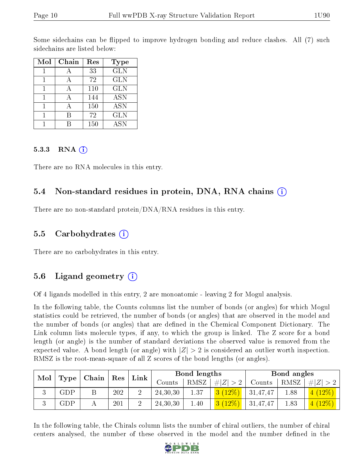Some sidechains can be flipped to improve hydrogen bonding and reduce clashes. All (7) such sidechains are listed below:

| Mol | Chain | Res | Type       |
|-----|-------|-----|------------|
|     |       | 33  | <b>GLN</b> |
|     |       | 72  | <b>GLN</b> |
|     | А     | 110 | <b>GLN</b> |
|     |       | 144 | <b>ASN</b> |
|     |       | 150 | <b>ASN</b> |
|     |       | 72  | <b>GLN</b> |
|     |       | 150 | <b>ASN</b> |

#### 5.3.3 RNA  $(i)$

There are no RNA molecules in this entry.

### 5.4 Non-standard residues in protein, DNA, RNA chains (i)

There are no non-standard protein/DNA/RNA residues in this entry.

### 5.5 Carbohydrates (i)

There are no carbohydrates in this entry.

### 5.6 Ligand geometry (i)

Of 4 ligands modelled in this entry, 2 are monoatomic - leaving 2 for Mogul analysis.

In the following table, the Counts columns list the number of bonds (or angles) for which Mogul statistics could be retrieved, the number of bonds (or angles) that are observed in the model and the number of bonds (or angles) that are dened in the Chemical Component Dictionary. The Link column lists molecule types, if any, to which the group is linked. The Z score for a bond length (or angle) is the number of standard deviations the observed value is removed from the expected value. A bond length (or angle) with  $|Z| > 2$  is considered an outlier worth inspection. RMSZ is the root-mean-square of all Z scores of the bond lengths (or angles).

| Mol | Type        |               | Res | Link |          | Bond lengths |             |          | Bond angles |           |
|-----|-------------|---------------|-----|------|----------|--------------|-------------|----------|-------------|-----------|
|     |             | $ $ Chain $ $ |     |      | Counts   | RMSZ         | # $ Z  > 2$ | Counts   | RMSZ        | $\# Z $   |
|     | ${\rm GDP}$ |               | 202 |      | 24,30,30 | 1.37         | $3(12\%)$   | 31,47,47 | .88         | 4(12%)    |
|     | ${\rm GDP}$ |               | 201 |      | 24,30,30 | 1.40         | 3(12%)      | 31,47,47 | 1.83        | $4(12\%)$ |

In the following table, the Chirals column lists the number of chiral outliers, the number of chiral centers analysed, the number of these observed in the model and the number defined in the

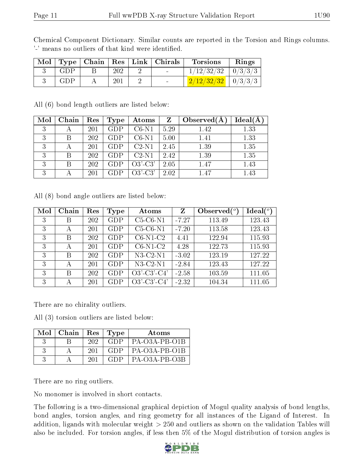| Chemical Component Dictionary. Similar counts are reported in the Torsion and Rings columns. |  |  |  |  |  |  |
|----------------------------------------------------------------------------------------------|--|--|--|--|--|--|
| '-' means no outliers of that kind were identified.                                          |  |  |  |  |  |  |

|     |     | Mol   Type   Chain   Res   Link   Chirals | <b>Torsions</b>        | Rings |
|-----|-----|-------------------------------------------|------------------------|-------|
| GDP | 202 |                                           | $1/12/32/32$   0/3/3/3 |       |
| GDP | 201 |                                           | $2/12/32/32$   0/3/3/3 |       |

All (6) bond length outliers are listed below:

| Mol | Chain | Res | Type       | Atoms     | $\mathbf{Z}$ | Observed $(A)$ | $Ideal(\AA)$ |
|-----|-------|-----|------------|-----------|--------------|----------------|--------------|
| 3   |       | 201 | <b>GDP</b> | $C6-N1$   | 5.29         | 1.42           | 1.33         |
| 3   | В     | 202 | GDP        | $C6-N1$   | 5.00         | 1.41           | 1.33         |
| 3   |       | 201 | GDP        | $C2-N1$   | 2.45         | 1.39           | 1.35         |
| 3   | В     | 202 | GDP        | $C2-N1$   | 2.42         | 1.39           | 1.35         |
| 3   | B     | 202 | <b>GDP</b> | $O3'-C3'$ | 2.05         | 1.47           | 1.43         |
| 3   |       | 201 | GDP        | $O3'-C3'$ | 2.02         | 1.47           | 1.43         |

All (8) bond angle outliers are listed below:

| Mol | Chain | Res | Type       | Atoms          | Z       | Observed $(°)$ | Ideal (°) |
|-----|-------|-----|------------|----------------|---------|----------------|-----------|
| 3   | В     | 202 | GDP        | $C5-C6-N1$     | $-7.27$ | 113.49         | 123.43    |
| 3   | А     | 201 | GDP        | $C5-C6-N1$     | $-7.20$ | 113.58         | 123.43    |
| 3   | В     | 202 | <b>GDP</b> | $C6-N1-C2$     | 4.41    | 122.94         | 115.93    |
| 3   | А     | 201 | GDP        | $C6-N1-C2$     | 4.28    | 122.73         | 115.93    |
| 3   | В     | 202 | GDP        | $N3-C2-N1$     | $-3.02$ | 123.19         | 127.22    |
| 3   | А     | 201 | GDP        | $N3-C2-N1$     | $-2.84$ | 123.43         | 127.22    |
| 3   | B     | 202 | GDP        | $O3'$ -C3'-C4' | $-2.58$ | 103.59         | 111.05    |
| 3   | А     | 201 | GDP        | $O3'$ -C3'-C4' | $-2.32$ | 104.34         | 111.05    |

There are no chirality outliers.

All (3) torsion outliers are listed below:

| $Mol$   Chain   Res   Type |      |      | Atoms         |
|----------------------------|------|------|---------------|
|                            | -202 | GDP. | PA-O3A-PB-O1B |
|                            | 201  | GDP. | PA-O3A-PB-O1B |
|                            | -201 | GDP  | PA-O3A-PB-O3B |

There are no ring outliers.

No monomer is involved in short contacts.

The following is a two-dimensional graphical depiction of Mogul quality analysis of bond lengths, bond angles, torsion angles, and ring geometry for all instances of the Ligand of Interest. In addition, ligands with molecular weight > 250 and outliers as shown on the validation Tables will also be included. For torsion angles, if less then 5% of the Mogul distribution of torsion angles is

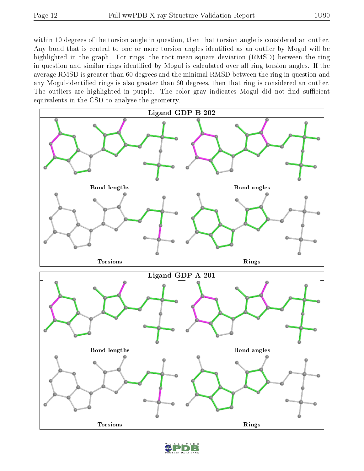within 10 degrees of the torsion angle in question, then that torsion angle is considered an outlier. Any bond that is central to one or more torsion angles identified as an outlier by Mogul will be highlighted in the graph. For rings, the root-mean-square deviation (RMSD) between the ring in question and similar rings identified by Mogul is calculated over all ring torsion angles. If the average RMSD is greater than 60 degrees and the minimal RMSD between the ring in question and any Mogul-identified rings is also greater than 60 degrees, then that ring is considered an outlier. The outliers are highlighted in purple. The color gray indicates Mogul did not find sufficient equivalents in the CSD to analyse the geometry.



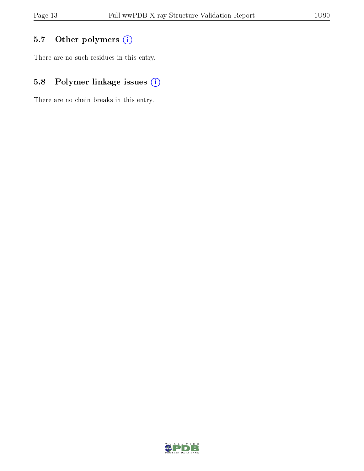# 5.7 [O](https://www.wwpdb.org/validation/2017/XrayValidationReportHelp#nonstandard_residues_and_ligands)ther polymers (i)

There are no such residues in this entry.

# 5.8 Polymer linkage issues (i)

There are no chain breaks in this entry.

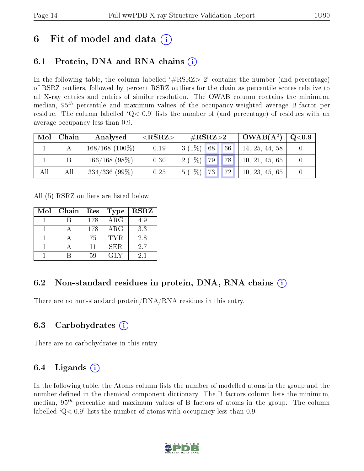# 6 Fit of model and data  $\left( \cdot \right)$

## 6.1 Protein, DNA and RNA chains (i)

In the following table, the column labelled  $#RSRZ>2'$  contains the number (and percentage) of RSRZ outliers, followed by percent RSRZ outliers for the chain as percentile scores relative to all X-ray entries and entries of similar resolution. The OWAB column contains the minimum, median,  $95<sup>th</sup>$  percentile and maximum values of the occupancy-weighted average B-factor per residue. The column labelled  $Q< 0.9$  lists the number of (and percentage) of residues with an average occupancy less than 0.9.

| Mol | Chain | Analysed          | ${ <\hspace{-1.5pt}{\mathrm{RSRZ}} \hspace{-1.5pt}>}$ | $\#\text{RSRZ}\text{>2}$           | $^{\circ}$ OWAB( $\rm \AA^2)$ | Q <sub>0.9</sub> |
|-----|-------|-------------------|-------------------------------------------------------|------------------------------------|-------------------------------|------------------|
|     |       | $168/168$ (100\%) | $-0.19$                                               | $3(1\%)$<br>166<br>68 <sup>1</sup> | 14, 25, 44, 58                |                  |
|     |       | $166/168$ (98\%)  | $-0.30$                                               | 78<br>$2(1\%)$ 79                  | 10, 21, 45, 65                |                  |
| All | All   | $334/336(99\%)$   | $-0.25$                                               | $5(1\%)$<br>73  <br>72             | 10, 23, 45, 65                |                  |

All (5) RSRZ outliers are listed below:

| Mol | Chain | Res | <b>Type</b> | <b>RSRZ</b> |
|-----|-------|-----|-------------|-------------|
|     |       | 178 | ARG         | 4.9         |
|     |       | 178 | $\rm{ARG}$  | 3.3         |
|     |       | 75  | <b>TYR</b>  | 2.8         |
|     |       | 11  | <b>SER</b>  | 2.7         |
|     |       | 59  | GLY         | 2.1         |

### 6.2 Non-standard residues in protein, DNA, RNA chains  $(i)$

There are no non-standard protein/DNA/RNA residues in this entry.

### 6.3 Carbohydrates (i)

There are no carbohydrates in this entry.

# 6.4 Ligands  $(i)$

In the following table, the Atoms column lists the number of modelled atoms in the group and the number defined in the chemical component dictionary. The B-factors column lists the minimum, median,  $95<sup>th</sup>$  percentile and maximum values of B factors of atoms in the group. The column labelled  $Q< 0.9$  lists the number of atoms with occupancy less than 0.9.

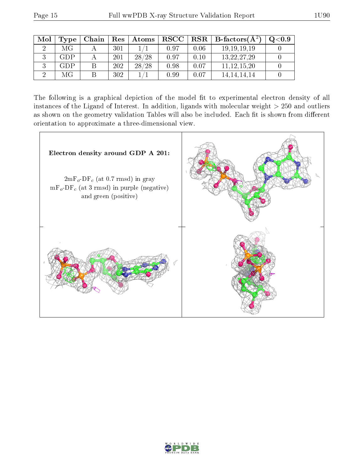| Mol | Type | Chain | Res | Atoms | $_{\rm RSCC}$ |      | $\parallel$ RSR $\parallel$ B-factors( $\rm \AA^2)$ | $\mathrm{O}{<}0.9$ |
|-----|------|-------|-----|-------|---------------|------|-----------------------------------------------------|--------------------|
|     | МG   |       | 301 |       | 0.97          | 0.06 | 19, 19, 19, 19                                      |                    |
|     | GDP  |       | 201 | 28/28 | 0.97          | 0.10 | 13, 22, 27, 29                                      |                    |
|     | GDP  |       | 202 | 28/28 | 0.98          | 0.07 | 11, 12, 15, 20                                      |                    |
|     | МG   |       | 302 |       | 0.99          | 0.07 | 14, 14, 14, 14                                      |                    |

The following is a graphical depiction of the model fit to experimental electron density of all instances of the Ligand of Interest. In addition, ligands with molecular weight  $> 250$  and outliers as shown on the geometry validation Tables will also be included. Each fit is shown from different orientation to approximate a three-dimensional view.